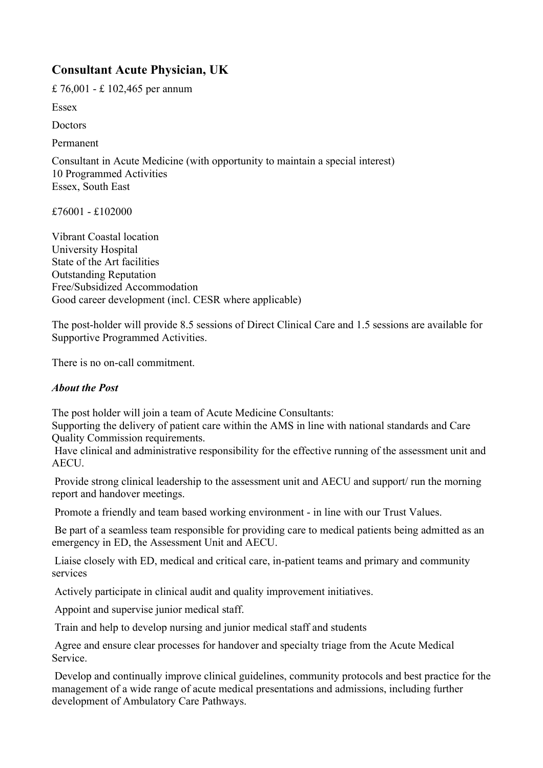## **Consultant Acute Physician, UK**

£ 76,001 - £ 102,465 per annum

Essex

**Doctors** 

Permanent

Consultant in Acute Medicine (with opportunity to maintain a special interest) 10 Programmed Activities Essex, South East

£76001 - £102000

Vibrant Coastal location University Hospital State of the Art facilities Outstanding Reputation Free/Subsidized Accommodation Good career development (incl. CESR where applicable)

The post-holder will provide 8.5 sessions of Direct Clinical Care and 1.5 sessions are available for Supportive Programmed Activities.

There is no on-call commitment.

## *About the Post*

The post holder will join a team of Acute Medicine Consultants:

Supporting the delivery of patient care within the AMS in line with national standards and Care Quality Commission requirements.

 Have clinical and administrative responsibility for the effective running of the assessment unit and AECU.

 Provide strong clinical leadership to the assessment unit and AECU and support/ run the morning report and handover meetings.

Promote a friendly and team based working environment - in line with our Trust Values.

 Be part of a seamless team responsible for providing care to medical patients being admitted as an emergency in ED, the Assessment Unit and AECU.

 Liaise closely with ED, medical and critical care, in-patient teams and primary and community services

Actively participate in clinical audit and quality improvement initiatives.

Appoint and supervise junior medical staff.

Train and help to develop nursing and junior medical staff and students

 Agree and ensure clear processes for handover and specialty triage from the Acute Medical Service.

 Develop and continually improve clinical guidelines, community protocols and best practice for the management of a wide range of acute medical presentations and admissions, including further development of Ambulatory Care Pathways.